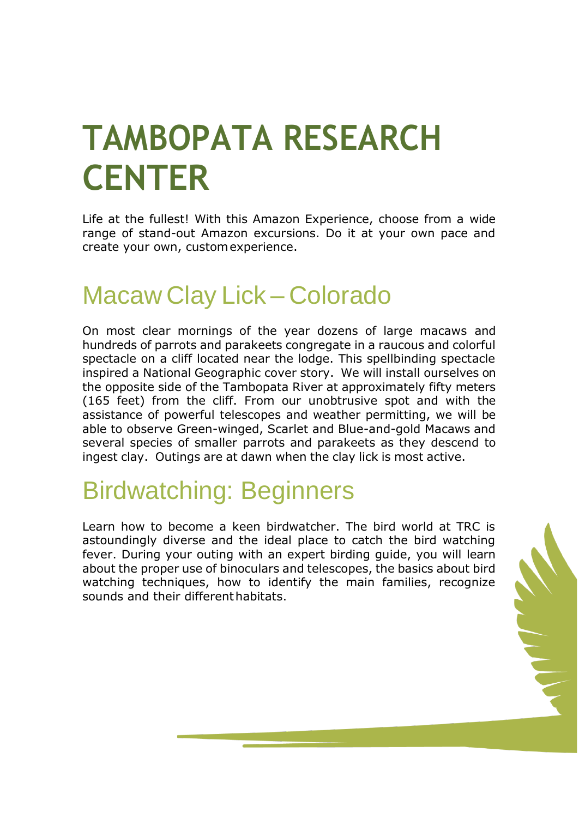# **TAMBOPATA RESEARCH CENTER**

Life at the fullest! With this Amazon Experience, choose from a wide range of stand-out Amazon excursions. Do it at your own pace and create your own, customexperience.

## Macaw Clay Lick – Colorado

On most clear mornings of the year dozens of large macaws and hundreds of parrots and parakeets congregate in a raucous and colorful spectacle on a cliff located near the lodge. This spellbinding spectacle inspired a National Geographic cover story. We will install ourselves on the opposite side of the Tambopata River at approximately fifty meters (165 feet) from the cliff. From our unobtrusive spot and with the assistance of powerful telescopes and weather permitting, we will be able to observe Green-winged, Scarlet and Blue-and-gold Macaws and several species of smaller parrots and parakeets as they descend to ingest clay. Outings are at dawn when the clay lick is most active.

## Birdwatching: Beginners

Learn how to become a keen birdwatcher. The bird world at TRC is astoundingly diverse and the ideal place to catch the bird watching fever. During your outing with an expert birding guide, you will learn about the proper use of binoculars and telescopes, the basics about bird watching techniques, how to identify the main families, recognize sounds and their differenthabitats.

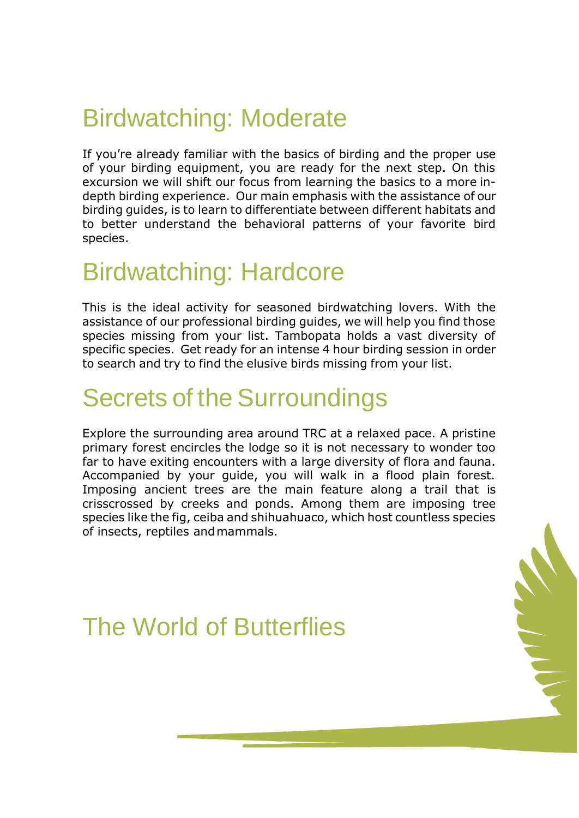#### Birdwatching: Moderate

If you're already familiar with the basics of birding and the proper use of your birding equipment, you are ready for the next step. On this excursion we will shift our focus from learning the basics to a more indepth birding experience. Our main emphasis with the assistance of our birding guides, is to learn to differentiate between different habitats and to better understand the behavioral patterns of your favorite bird species.

#### Birdwatching: Hardcore

This is the ideal activity for seasoned birdwatching lovers. With the assistance of our professional birding guides, we will help you find those species missing from your list. Tambopata holds a vast diversity of specific species. Get ready for an intense 4 hour birding session in order to search and try to find the elusive birds missing from your list.

#### Secrets of the Surroundings

Explore the surrounding area around TRC at a relaxed pace. A pristine primary forest encircles the lodge so it is not necessary to wonder too far to have exiting encounters with a large diversity of flora and fauna. Accompanied by your guide, you will walk in a flood plain forest. Imposing ancient trees are the main feature along a trail that is crisscrossed by creeks and ponds. Among them are imposing tree species like the fig, ceiba and shihuahuaco, which host countless species of insects, reptiles andmammals.

# The World of Butterflies

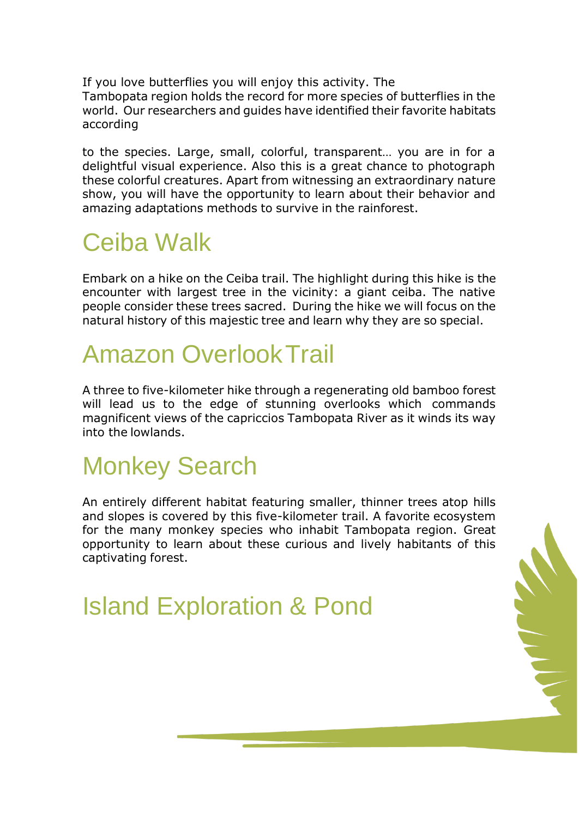If you love butterflies you will enjoy this activity. The Tambopata region holds the record for more species of butterflies in the world. Our researchers and guides have identified their favorite habitats according

to the species. Large, small, colorful, transparent… you are in for a delightful visual experience. Also this is a great chance to photograph these colorful creatures. Apart from witnessing an extraordinary nature show, you will have the opportunity to learn about their behavior and amazing adaptations methods to survive in the rainforest.

# Ceiba Walk

Embark on a hike on the Ceiba trail. The highlight during this hike is the encounter with largest tree in the vicinity: a giant ceiba. The native people consider these trees sacred. During the hike we will focus on the natural history of this majestic tree and learn why they are so special.

## Amazon OverlookTrail

A three to five-kilometer hike through a regenerating old bamboo forest will lead us to the edge of stunning overlooks which commands magnificent views of the capriccios Tambopata River as it winds its way into the lowlands.

# Monkey Search

An entirely different habitat featuring smaller, thinner trees atop hills and slopes is covered by this five-kilometer trail. A favorite ecosystem for the many monkey species who inhabit Tambopata region. Great opportunity to learn about these curious and lively habitants of this captivating forest.

Island Exploration & Pond

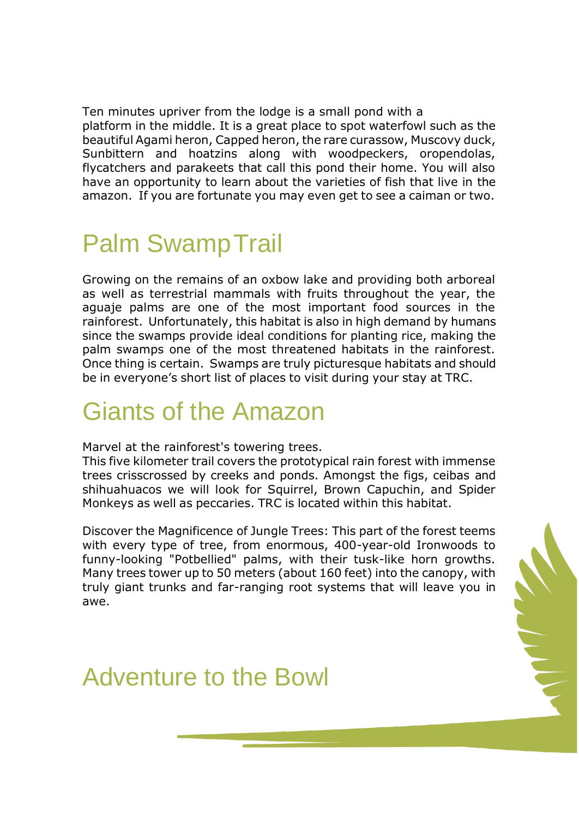Ten minutes upriver from the lodge is a small pond with a platform in the middle. It is a great place to spot waterfowl such as the beautiful Agami heron, Capped heron, the rare curassow, Muscovy duck, Sunbittern and hoatzins along with woodpeckers, oropendolas, flycatchers and parakeets that call this pond their home. You will also have an opportunity to learn about the varieties of fish that live in the amazon. If you are fortunate you may even get to see a caiman or two.

## Palm SwampTrail

Growing on the remains of an oxbow lake and providing both arboreal as well as terrestrial mammals with fruits throughout the year, the aguaje palms are one of the most important food sources in the rainforest. Unfortunately, this habitat is also in high demand by humans since the swamps provide ideal conditions for planting rice, making the palm swamps one of the most threatened habitats in the rainforest. Once thing is certain. Swamps are truly picturesque habitats and should be in everyone's short list of places to visit during your stay at TRC.

#### Giants of the Amazon

Marvel at the rainforest's towering trees.

This five kilometer trail covers the prototypical rain forest with immense trees crisscrossed by creeks and ponds. Amongst the figs, ceibas and shihuahuacos we will look for Squirrel, Brown Capuchin, and Spider Monkeys as well as peccaries. TRC is located within this habitat.

Discover the Magnificence of Jungle Trees: This part of the forest teems with every type of tree, from enormous, 400-year-old Ironwoods to funny-looking "Potbellied" palms, with their tusk-like horn growths. Many trees tower up to 50 meters (about 160 feet) into the canopy, with truly giant trunks and far-ranging root systems that will leave you in awe.



## Adventure to the Bowl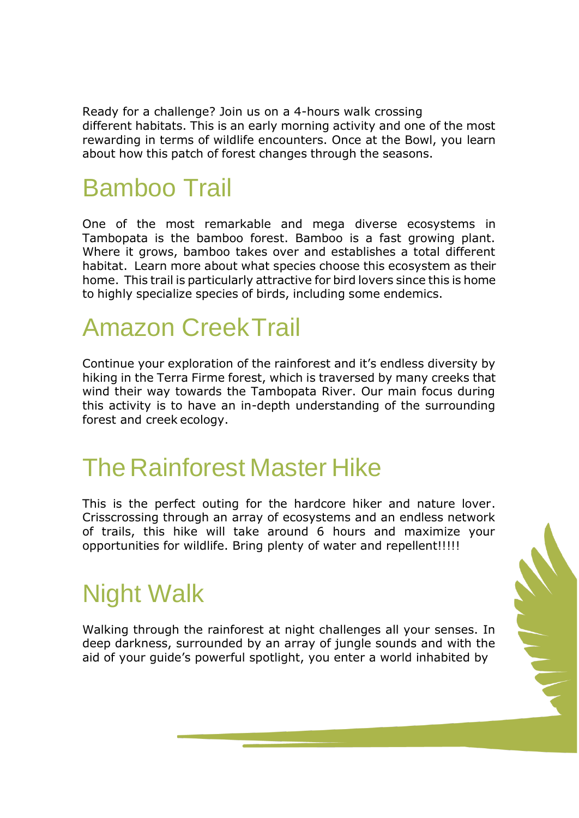Ready for a challenge? Join us on a 4-hours walk crossing different habitats. This is an early morning activity and one of the most rewarding in terms of wildlife encounters. Once at the Bowl, you learn about how this patch of forest changes through the seasons.

## Bamboo Trail

One of the most remarkable and mega diverse ecosystems in Tambopata is the bamboo forest. Bamboo is a fast growing plant. Where it grows, bamboo takes over and establishes a total different habitat. Learn more about what species choose this ecosystem as their home. This trail is particularly attractive for bird lovers since this is home to highly specialize species of birds, including some endemics.

## Amazon CreekTrail

Continue your exploration of the rainforest and it's endless diversity by hiking in the Terra Firme forest, which is traversed by many creeks that wind their way towards the Tambopata River. Our main focus during this activity is to have an in-depth understanding of the surrounding forest and creek ecology.

## The Rainforest Master Hike

This is the perfect outing for the hardcore hiker and nature lover. Crisscrossing through an array of ecosystems and an endless network of trails, this hike will take around 6 hours and maximize your opportunities for wildlife. Bring plenty of water and repellent!!!!!

## Night Walk

Walking through the rainforest at night challenges all your senses. In deep darkness, surrounded by an array of jungle sounds and with the aid of your guide's powerful spotlight, you enter a world inhabited by